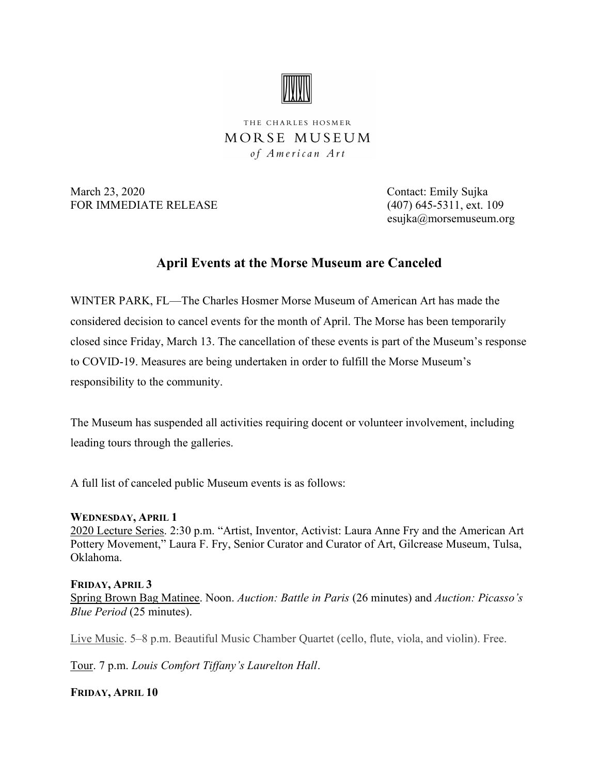

THE CHARLES HOSMER MORSE MUSEUM of American Art

March 23, 2020 Contact: Emily Sujka FOR IMMEDIATE RELEASE (407) 645-5311, ext. 109

esujka@morsemuseum.org

# April Events at the Morse Museum are Canceled

WINTER PARK, FL—The Charles Hosmer Morse Museum of American Art has made the considered decision to cancel events for the month of April. The Morse has been temporarily closed since Friday, March 13. The cancellation of these events is part of the Museum's response to COVID-19. Measures are being undertaken in order to fulfill the Morse Museum's responsibility to the community.

The Museum has suspended all activities requiring docent or volunteer involvement, including leading tours through the galleries.

A full list of canceled public Museum events is as follows:

## WEDNESDAY, APRIL 1

2020 Lecture Series. 2:30 p.m. "Artist, Inventor, Activist: Laura Anne Fry and the American Art Pottery Movement," Laura F. Fry, Senior Curator and Curator of Art, Gilcrease Museum, Tulsa, Oklahoma.

## FRIDAY, APRIL 3

Spring Brown Bag Matinee. Noon. Auction: Battle in Paris (26 minutes) and Auction: Picasso's Blue Period (25 minutes).

Live Music. 5–8 p.m. Beautiful Music Chamber Quartet (cello, flute, viola, and violin). Free.

Tour. 7 p.m. Louis Comfort Tiffany's Laurelton Hall.

FRIDAY, APRIL 10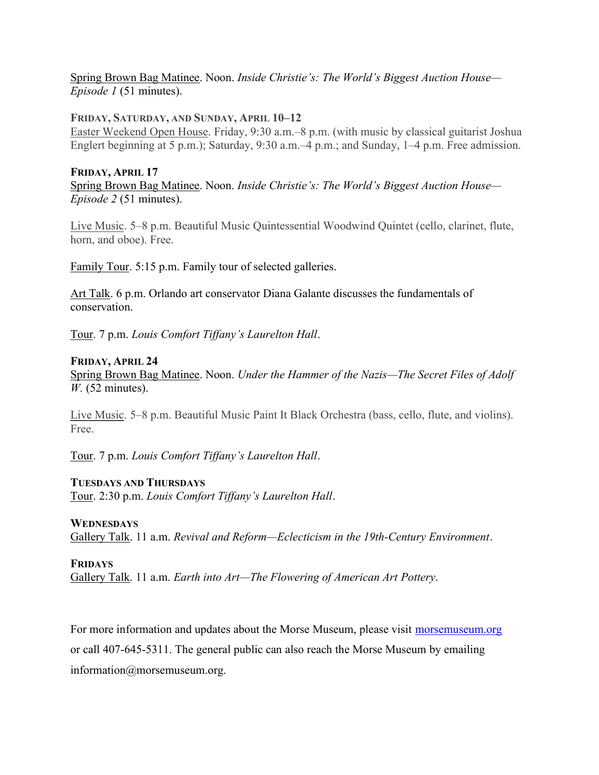## Spring Brown Bag Matinee. Noon. Inside Christie's: The World's Biggest Auction House— Episode 1 (51 minutes).

#### FRIDAY, SATURDAY, AND SUNDAY, APRIL 10–12

Easter Weekend Open House. Friday, 9:30 a.m.–8 p.m. (with music by classical guitarist Joshua Englert beginning at 5 p.m.); Saturday, 9:30 a.m.–4 p.m.; and Sunday, 1–4 p.m. Free admission.

## FRIDAY, APRIL 17 Spring Brown Bag Matinee. Noon. Inside Christie's: The World's Biggest Auction House— Episode 2 (51 minutes).

Live Music. 5–8 p.m. Beautiful Music Quintessential Woodwind Quintet (cello, clarinet, flute, horn, and oboe). Free.

Family Tour. 5:15 p.m. Family tour of selected galleries.

Art Talk. 6 p.m. Orlando art conservator Diana Galante discusses the fundamentals of conservation.

Tour. 7 p.m. Louis Comfort Tiffany's Laurelton Hall.

## FRIDAY, APRIL 24

Spring Brown Bag Matinee. Noon. Under the Hammer of the Nazis—The Secret Files of Adolf  $W<sub>1</sub>$  (52 minutes).

Live Music. 5–8 p.m. Beautiful Music Paint It Black Orchestra (bass, cello, flute, and violins). Free.

Tour. 7 p.m. Louis Comfort Tiffany's Laurelton Hall.

## TUESDAYS AND THURSDAYS

Tour. 2:30 p.m. Louis Comfort Tiffany's Laurelton Hall.

## **WEDNESDAYS**

Gallery Talk. 11 a.m. Revival and Reform—Eclecticism in the 19th-Century Environment.

## FRIDAYS

Gallery Talk. 11 a.m. Earth into Art—The Flowering of American Art Pottery.

For more information and updates about the Morse Museum, please visit morsemuseum.org or call 407-645-5311. The general public can also reach the Morse Museum by emailing information@morsemuseum.org.